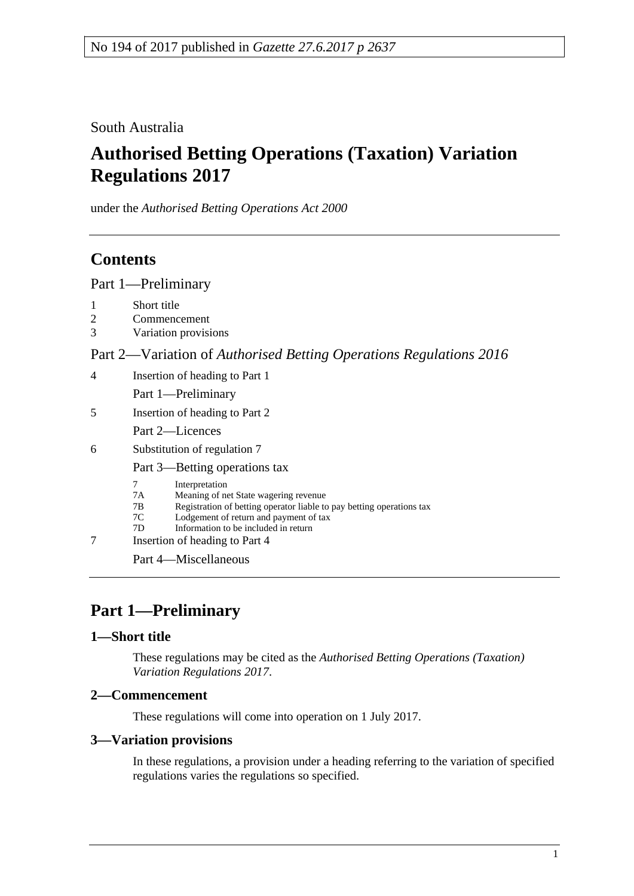South Australia

# **Authorised Betting Operations (Taxation) Variation Regulations 2017**

under the *Authorised Betting Operations Act 2000*

# **Contents**

Part [1—Preliminary](#page-0-0)

| 1<br>$\overline{2}$<br>3 | Short title<br>Commencement<br>Variation provisions                                                                                                                                                                                                                               |
|--------------------------|-----------------------------------------------------------------------------------------------------------------------------------------------------------------------------------------------------------------------------------------------------------------------------------|
|                          | Part 2—Variation of Authorised Betting Operations Regulations 2016                                                                                                                                                                                                                |
| 4                        | Insertion of heading to Part 1                                                                                                                                                                                                                                                    |
|                          | Part 1-Preliminary                                                                                                                                                                                                                                                                |
| 5                        | Insertion of heading to Part 2                                                                                                                                                                                                                                                    |
|                          | Part 2—Licences                                                                                                                                                                                                                                                                   |
| 6                        | Substitution of regulation 7                                                                                                                                                                                                                                                      |
|                          | Part 3—Betting operations tax                                                                                                                                                                                                                                                     |
| 7                        | 7<br>Interpretation<br>Meaning of net State wagering revenue<br>7A<br>Registration of betting operator liable to pay betting operations tax<br>7B<br>Lodgement of return and payment of tax<br>7C<br>Information to be included in return<br>7D<br>Insertion of heading to Part 4 |
|                          | Part 4—Miscellaneous                                                                                                                                                                                                                                                              |

# <span id="page-0-0"></span>**Part 1—Preliminary**

### <span id="page-0-1"></span>**1—Short title**

These regulations may be cited as the *Authorised Betting Operations (Taxation) Variation Regulations 2017*.

### <span id="page-0-2"></span>**2—Commencement**

These regulations will come into operation on 1 July 2017.

### <span id="page-0-3"></span>**3—Variation provisions**

In these regulations, a provision under a heading referring to the variation of specified regulations varies the regulations so specified.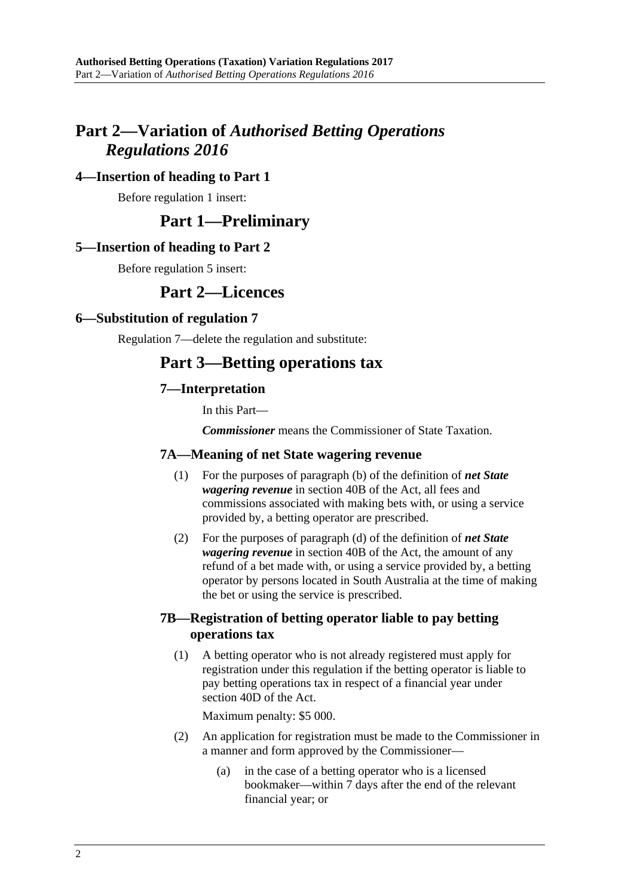# <span id="page-1-0"></span>**Part 2—Variation of** *Authorised Betting Operations Regulations 2016*

#### <span id="page-1-1"></span>**4—Insertion of heading to Part 1**

Before regulation 1 insert:

# **Part 1—Preliminary**

#### <span id="page-1-2"></span>**5—Insertion of heading to Part 2**

Before regulation 5 insert:

## **Part 2—Licences**

#### <span id="page-1-3"></span>**6—Substitution of regulation 7**

Regulation 7—delete the regulation and substitute:

# **Part 3—Betting operations tax**

#### **7—Interpretation**

In this Part—

*Commissioner* means the Commissioner of State Taxation.

#### **7A—Meaning of net State wagering revenue**

- (1) For the purposes of paragraph (b) of the definition of *net State wagering revenue* in section 40B of the Act, all fees and commissions associated with making bets with, or using a service provided by, a betting operator are prescribed.
- (2) For the purposes of paragraph (d) of the definition of *net State wagering revenue* in section 40B of the Act, the amount of any refund of a bet made with, or using a service provided by, a betting operator by persons located in South Australia at the time of making the bet or using the service is prescribed.

#### <span id="page-1-4"></span>**7B—Registration of betting operator liable to pay betting operations tax**

(1) A betting operator who is not already registered must apply for registration under this regulation if the betting operator is liable to pay betting operations tax in respect of a financial year under section 40D of the Act.

Maximum penalty: \$5 000.

- (2) An application for registration must be made to the Commissioner in a manner and form approved by the Commissioner—
	- (a) in the case of a betting operator who is a licensed bookmaker—within 7 days after the end of the relevant financial year; or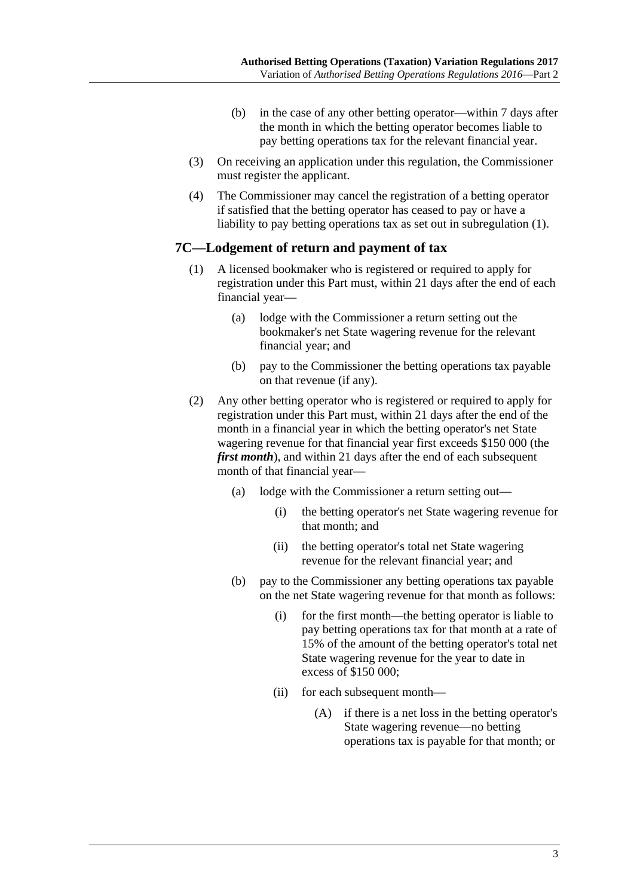- (b) in the case of any other betting operator—within 7 days after the month in which the betting operator becomes liable to pay betting operations tax for the relevant financial year.
- (3) On receiving an application under this regulation, the Commissioner must register the applicant.
- (4) The Commissioner may cancel the registration of a betting operator if satisfied that the betting operator has ceased to pay or have a liability to pay betting operations tax as set out in [subregulation](#page-1-4) (1).

#### **7C—Lodgement of return and payment of tax**

- (1) A licensed bookmaker who is registered or required to apply for registration under this Part must, within 21 days after the end of each financial year—
	- (a) lodge with the Commissioner a return setting out the bookmaker's net State wagering revenue for the relevant financial year; and
	- (b) pay to the Commissioner the betting operations tax payable on that revenue (if any).
- (2) Any other betting operator who is registered or required to apply for registration under this Part must, within 21 days after the end of the month in a financial year in which the betting operator's net State wagering revenue for that financial year first exceeds \$150 000 (the *first month*), and within 21 days after the end of each subsequent month of that financial year—
	- (a) lodge with the Commissioner a return setting out—
		- (i) the betting operator's net State wagering revenue for that month; and
		- (ii) the betting operator's total net State wagering revenue for the relevant financial year; and
	- (b) pay to the Commissioner any betting operations tax payable on the net State wagering revenue for that month as follows:
		- (i) for the first month—the betting operator is liable to pay betting operations tax for that month at a rate of 15% of the amount of the betting operator's total net State wagering revenue for the year to date in excess of \$150 000;
		- (ii) for each subsequent month—
			- (A) if there is a net loss in the betting operator's State wagering revenue—no betting operations tax is payable for that month; or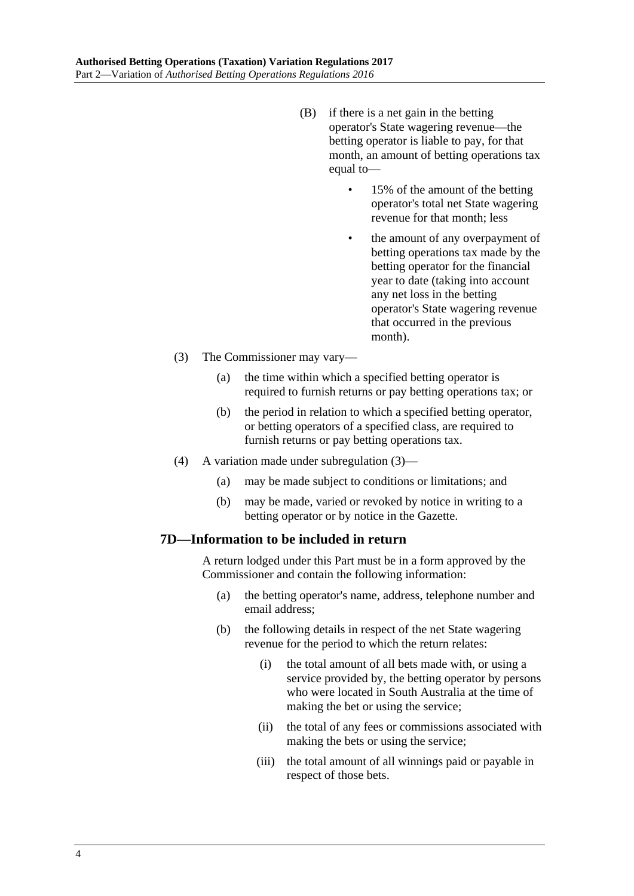- (B) if there is a net gain in the betting operator's State wagering revenue—the betting operator is liable to pay, for that month, an amount of betting operations tax equal to—
	- 15% of the amount of the betting operator's total net State wagering revenue for that month; less
	- the amount of any overpayment of betting operations tax made by the betting operator for the financial year to date (taking into account any net loss in the betting operator's State wagering revenue that occurred in the previous month).
- <span id="page-3-0"></span>(3) The Commissioner may vary—
	- (a) the time within which a specified betting operator is required to furnish returns or pay betting operations tax; or
	- (b) the period in relation to which a specified betting operator, or betting operators of a specified class, are required to furnish returns or pay betting operations tax.
- (4) A variation made under [subregulation](#page-3-0) (3)—
	- (a) may be made subject to conditions or limitations; and
	- (b) may be made, varied or revoked by notice in writing to a betting operator or by notice in the Gazette.

#### **7D—Information to be included in return**

A return lodged under this Part must be in a form approved by the Commissioner and contain the following information:

- (a) the betting operator's name, address, telephone number and email address;
- (b) the following details in respect of the net State wagering revenue for the period to which the return relates:
	- (i) the total amount of all bets made with, or using a service provided by, the betting operator by persons who were located in South Australia at the time of making the bet or using the service;
	- (ii) the total of any fees or commissions associated with making the bets or using the service;
	- (iii) the total amount of all winnings paid or payable in respect of those bets.